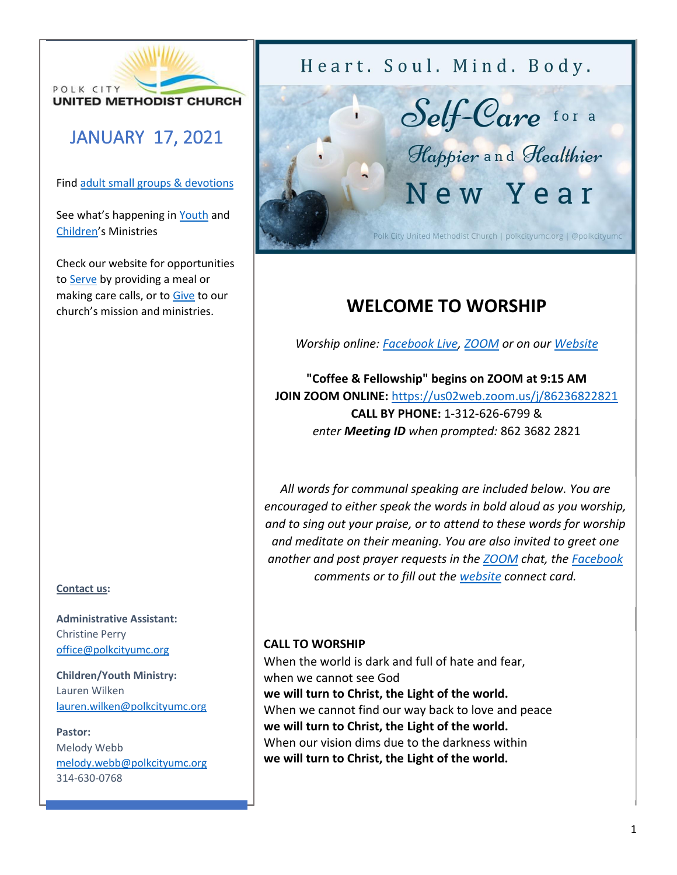

# JANUARY 17, 2021

Fin[d adult small groups & devotions](http://www.polkcityumc.org/grow)

See what's happening in [Youth](http://www.polkcityumc.org/youth) and [Children](http://www.polkcityumc.org/children)'s Ministries

Check our website for opportunities to [Serve](http://www.polkcityumc.org/serve) by providing a meal or making care calls, or to [Give](http://www.polkcityumc.org/give) to our church's mission and ministries.

## **Contact us:**

**Administrative Assistant:**  Christine Perry [office@polkcityumc.org](mailto:office@polkcityumc.org)

**Children/Youth Ministry:**  Lauren Wilken [lauren.wilken@polkcityumc.org](mailto:lauren.wilken@polkcityumc.org)

#### **Pastor:**

Melody Webb [melody.webb@polkcityumc.org](mailto:melody.webb@polkcityumc.org) 314-630-0768

Heart. Soul. Mind. Body.



# **WELCOME TO WORSHIP**

*Worship online: [Facebook Live,](http://www.facebook.com/polkcityumc) [ZOOM](https://us02web.zoom.us/j/86236822821) or on our [Website](http://www.polkcityumc.org/online-worship)*

**"Coffee & Fellowship" begins on ZOOM at 9:15 AM JOIN ZOOM ONLINE:** <https://us02web.zoom.us/j/86236822821> **CALL BY PHONE:** 1-312-626-6799 & *enter Meeting ID when prompted:* 862 3682 2821

*All words for communal speaking are included below. You are encouraged to either speak the words in bold aloud as you worship, and to sing out your praise, or to attend to these words for worship and meditate on their meaning. You are also invited to greet one another and post prayer requests in the [ZOOM](https://us02web.zoom.us/j/86236822821) chat, the [Facebook](https://www.facebook.com/polkcityumc/) comments or to fill out the [website](https://www.polkcityumc.org/online-worship) connect card.*

# **CALL TO WORSHIP**

When the world is dark and full of hate and fear, when we cannot see God **we will turn to Christ, the Light of the world.** When we cannot find our way back to love and peace **we will turn to Christ, the Light of the world.** When our vision dims due to the darkness within **we will turn to Christ, the Light of the world.**